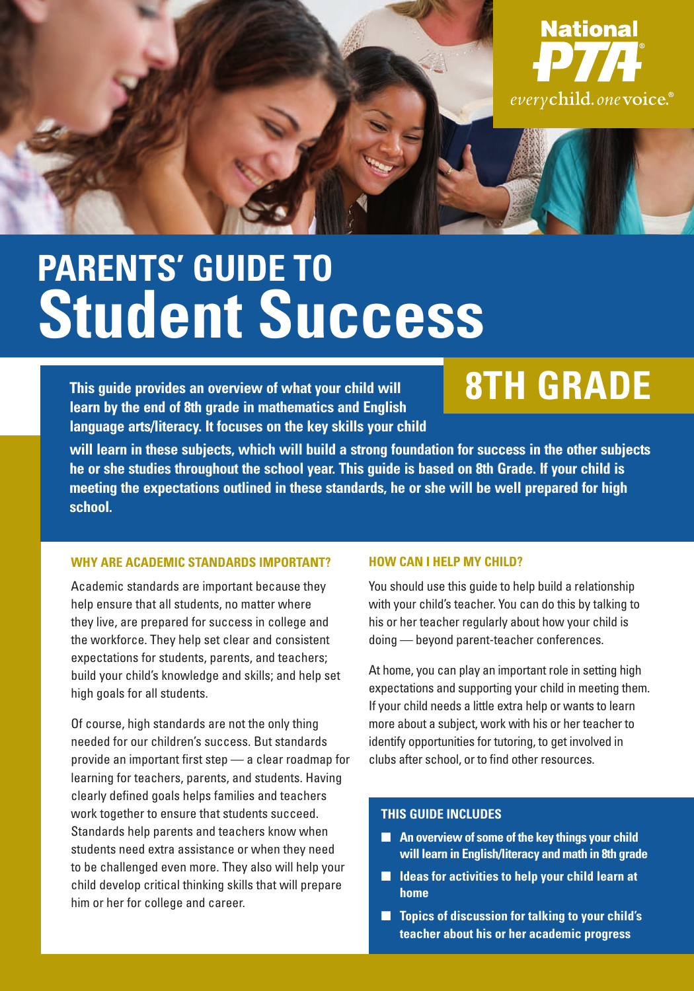

# **PARENTS' GUIDE TO Student Success**

**This guide provides an overview of what your child will learn by the end of 8th grade in mathematics and English language arts/literacy. It focuses on the key skills your child** 

## **8TH GRADE**

**will learn in these subjects, which will build a strong foundation for success in the other subjects he or she studies throughout the school year. This guide is based on 8th Grade. If your child is meeting the expectations outlined in these standards, he or she will be well prepared for high school.** 

#### **WHY ARE ACADEMIC STANDARDS IMPORTANT?**

Academic standards are important because they help ensure that all students, no matter where they live, are prepared for success in college and the workforce. They help set clear and consistent expectations for students, parents, and teachers; build your child's knowledge and skills; and help set high goals for all students.

Of course, high standards are not the only thing needed for our children's success. But standards provide an important first step — a clear roadmap for learning for teachers, parents, and students. Having clearly defined goals helps families and teachers work together to ensure that students succeed. Standards help parents and teachers know when students need extra assistance or when they need to be challenged even more. They also will help your child develop critical thinking skills that will prepare him or her for college and career.

#### **HOW CAN I HELP MY CHILD?**

You should use this guide to help build a relationship with your child's teacher. You can do this by talking to his or her teacher regularly about how your child is doing — beyond parent-teacher conferences.

At home, you can play an important role in setting high expectations and supporting your child in meeting them. If your child needs a little extra help or wants to learn more about a subject, work with his or her teacher to identify opportunities for tutoring, to get involved in clubs after school, or to find other resources.

#### **THIS GUIDE INCLUDES**

- An overview of some of the key things your child **will learn in English/literacy and math in 8th grade**
- **Ideas for activities to help your child learn at home**
- **Topics of discussion for talking to your child's teacher about his or her academic progress**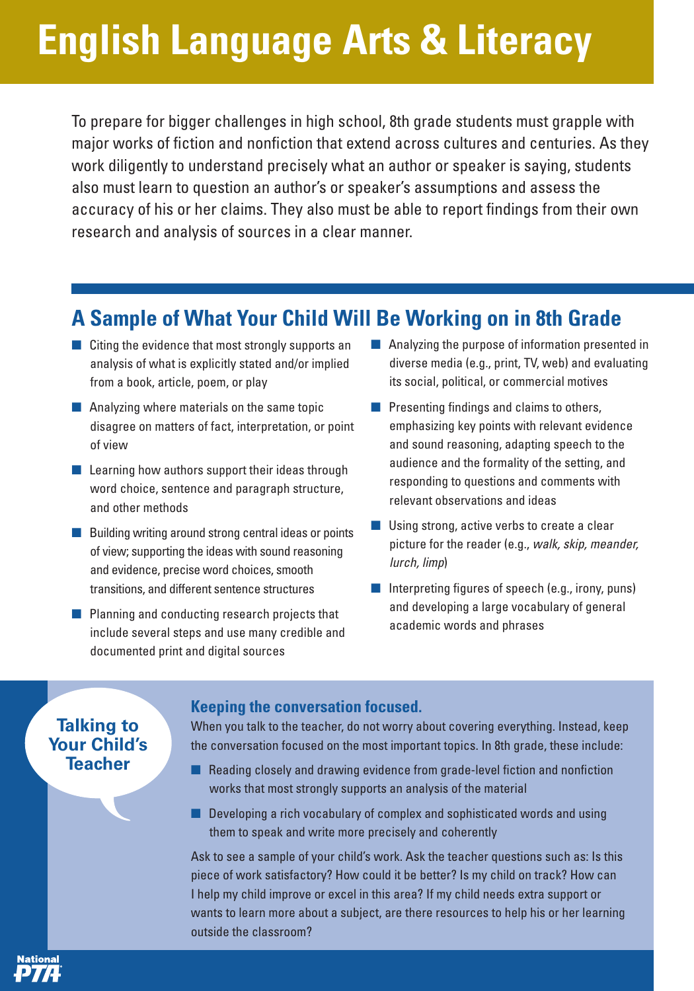# **English Language Arts & Literacy**

To prepare for bigger challenges in high school, 8th grade students must grapple with major works of fiction and nonfiction that extend across cultures and centuries. As they work diligently to understand precisely what an author or speaker is saying, students also must learn to question an author's or speaker's assumptions and assess the accuracy of his or her claims. They also must be able to report findings from their own research and analysis of sources in a clear manner.

### **A Sample of What Your Child Will Be Working on in 8th Grade**

- Citing the evidence that most strongly supports an analysis of what is explicitly stated and/or implied from a book, article, poem, or play
- Analyzing where materials on the same topic disagree on matters of fact, interpretation, or point of view
- Learning how authors support their ideas through word choice, sentence and paragraph structure, and other methods
- Building writing around strong central ideas or points of view; supporting the ideas with sound reasoning and evidence, precise word choices, smooth transitions, and different sentence structures
- Planning and conducting research projects that include several steps and use many credible and documented print and digital sources
- Analyzing the purpose of information presented in diverse media (e.g., print, TV, web) and evaluating its social, political, or commercial motives
- Presenting findings and claims to others, emphasizing key points with relevant evidence and sound reasoning, adapting speech to the audience and the formality of the setting, and responding to questions and comments with relevant observations and ideas
- Using strong, active verbs to create a clear picture for the reader (e.g., walk, skip, meander, lurch, limp)
- Interpreting figures of speech (e.g., irony, puns) and developing a large vocabulary of general academic words and phrases

### **Talking to Your Child's Teacher**

ational

#### **Keeping the conversation focused.**

When you talk to the teacher, do not worry about covering everything. Instead, keep the conversation focused on the most important topics. In 8th grade, these include:

- Reading closely and drawing evidence from grade-level fiction and nonfiction works that most strongly supports an analysis of the material
- Developing a rich vocabulary of complex and sophisticated words and using them to speak and write more precisely and coherently

Ask to see a sample of your child's work. Ask the teacher questions such as: Is this piece of work satisfactory? How could it be better? Is my child on track? How can I help my child improve or excel in this area? If my child needs extra support or wants to learn more about a subject, are there resources to help his or her learning outside the classroom?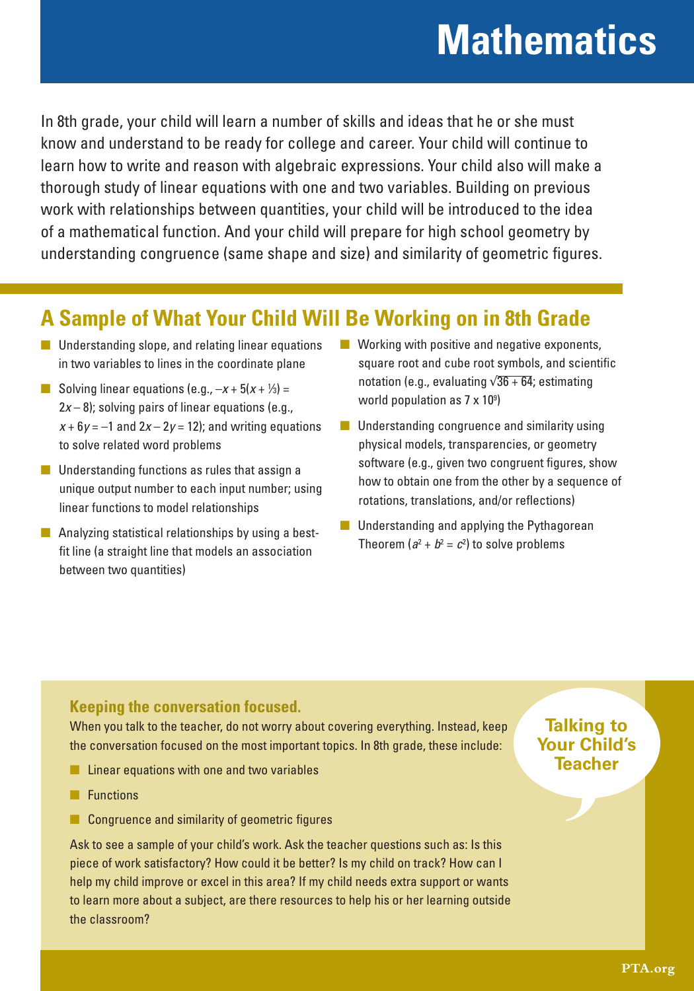## **Mathematics**

In 8th grade, your child will learn a number of skills and ideas that he or she must know and understand to be ready for college and career. Your child will continue to learn how to write and reason with algebraic expressions. Your child also will make a thorough study of linear equations with one and two variables. Building on previous work with relationships between quantities, your child will be introduced to the idea of a mathematical function. And your child will prepare for high school geometry by understanding congruence (same shape and size) and similarity of geometric figures.

## **A Sample of What Your Child Will Be Working on in 8th Grade**

- Understanding slope, and relating linear equations in two variables to lines in the coordinate plane
- **B** Solving linear equations (e.g.,  $-x + 5(x + \frac{1}{3}) =$  $2x - 8$ ); solving pairs of linear equations (e.g.,  $x + 6y = -1$  and  $2x - 2y = 12$ ; and writing equations to solve related word problems
- Understanding functions as rules that assign a unique output number to each input number; using linear functions to model relationships
- Analyzing statistical relationships by using a bestfit line (a straight line that models an association between two quantities)
- $\blacksquare$  Working with positive and negative exponents, square root and cube root symbols, and scientific notation (e.g., evaluating  $\sqrt{36 + 64}$ ; estimating world population as 7 x 109 )
- Understanding congruence and similarity using physical models, transparencies, or geometry software (e.g., given two congruent figures, show how to obtain one from the other by a sequence of rotations, translations, and/or reflections)
- Understanding and applying the Pythagorean Theorem ( $a^2 + b^2 = c^2$ ) to solve problems

### **Keeping the conversation focused.**

When you talk to the teacher, do not worry about covering everything. Instead, keep the conversation focused on the most important topics. In 8th grade, these include:

- Linear equations with one and two variables
- Functions
- Congruence and similarity of geometric figures

Ask to see a sample of your child's work. Ask the teacher questions such as: Is this piece of work satisfactory? How could it be better? Is my child on track? How can I help my child improve or excel in this area? If my child needs extra support or wants to learn more about a subject, are there resources to help his or her learning outside the classroom?

### **Talking to Your Child's Teacher**